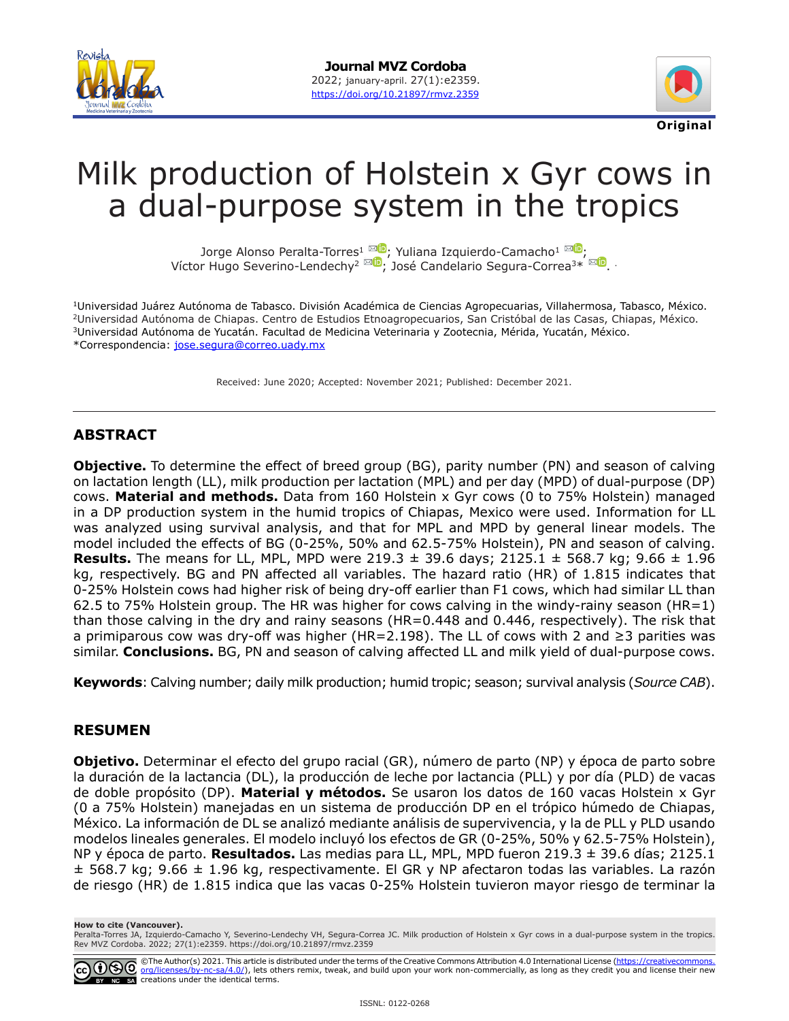



# Milk production of Holstein x Gyr cows in a dual-purpose system in the tropics

Jorge Alonso Peralta-Torres<sup>[1](mailto:vhseverino%40hotmail.com?subject=)</sup> 20, Yuliana Izquierdo-Camacho<sup>1 MD</sup>[;](https://orcid.org/0000-0003-0159-0842) VíctorHugo Severino-Lendechy<sup>2 Mu</sup>, José Candelario Segura-Correa<sup>3\* Mu</sup>[.](https://orcid.org/0000-0003-1329-9948) .

1Universidad Juárez Autónoma de Tabasco. División Académica de Ciencias Agropecuarias, Villahermosa, Tabasco, México. 2Universidad Autónoma de Chiapas. Centro de Estudios Etnoagropecuarios, San Cristóbal de las Casas, Chiapas, México. 3Universidad Autónoma de Yucatán. Facultad de Medicina Veterinaria y Zootecnia, Mérida, Yucatán, México. \*Correspondencia: [jose.segura@correo.uady.mx](mailto:jose.segura@correo.uady.mx)

Received: June 2020; Accepted: November 2021; Published: December 2021.

## **ABSTRACT**

**Objective.** To determine the effect of breed group (BG), parity number (PN) and season of calving on lactation length (LL), milk production per lactation (MPL) and per day (MPD) of dual-purpose (DP) cows. **Material and methods.** Data from 160 Holstein x Gyr cows (0 to 75% Holstein) managed in a DP production system in the humid tropics of Chiapas, Mexico were used. Information for LL was analyzed using survival analysis, and that for MPL and MPD by general linear models. The model included the effects of BG (0-25%, 50% and 62.5-75% Holstein), PN and season of calving. **Results.** The means for LL, MPL, MPD were 219.3  $\pm$  39.6 days; 2125.1  $\pm$  568.7 kg; 9.66  $\pm$  1.96 kg, respectively. BG and PN affected all variables. The hazard ratio (HR) of 1.815 indicates that 0-25% Holstein cows had higher risk of being dry-off earlier than F1 cows, which had similar LL than 62.5 to 75% Holstein group. The HR was higher for cows calving in the windy-rainy season (HR=1) than those calving in the dry and rainy seasons (HR=0.448 and 0.446, respectively). The risk that a primiparous cow was dry-off was higher (HR=2.198). The LL of cows with 2 and ≥3 parities was similar. **Conclusions.** BG, PN and season of calving affected LL and milk yield of dual-purpose cows.

**Keywords**: Calving number; daily milk production; humid tropic; season; survival analysis (*Source CAB*).

## **RESUMEN**

**Objetivo.** Determinar el efecto del grupo racial (GR), número de parto (NP) y época de parto sobre la duración de la lactancia (DL), la producción de leche por lactancia (PLL) y por día (PLD) de vacas de doble propósito (DP). **Material y métodos.** Se usaron los datos de 160 vacas Holstein x Gyr (0 a 75% Holstein) manejadas en un sistema de producción DP en el trópico húmedo de Chiapas, México. La información de DL se analizó mediante análisis de supervivencia, y la de PLL y PLD usando modelos lineales generales. El modelo incluyó los efectos de GR (0-25%, 50% y 62.5-75% Holstein), NP y época de parto. **Resultados.** Las medias para LL, MPL, MPD fueron 219.3 ± 39.6 días; 2125.1  $\pm$  568.7 kg; 9.66  $\pm$  1.96 kg, respectivamente. El GR y NP afectaron todas las variables. La razón de riesgo (HR) de 1.815 indica que las vacas 0-25% Holstein tuvieron mayor riesgo de terminar la

**How to cite (Vancouver).**

Peralta-Torres JA, Izquierdo-Camacho Y, Severino-Lendechy VH, Segura-Correa JC. Milk production of Holstein x Gyr cows in a dual-purpose system in the tropics.<br>Rev MVZ Cordoba. 2022; 27(1):e2359. https://doi.org/10.21897/r

©The Author(s) 2021. This article is distributed under the terms of the Creative Commons Attribution 4.0 International License (<u>[https://creativecommons.](https://creativecommons.org/licenses/by-nc-sa/4.0/)</u><br><u>org/licenses/by-nc-sa/4.0/</u>), lets others remix, tweak, and build NC SA creations under the identical terms.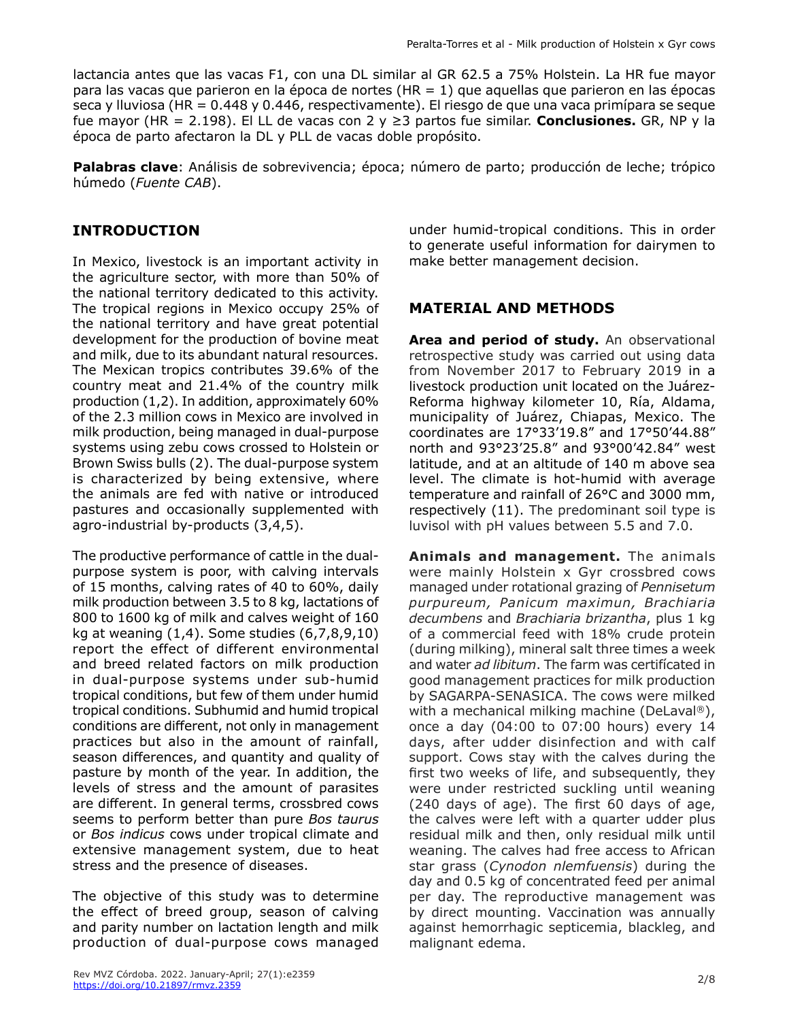lactancia antes que las vacas F1, con una DL similar al GR 62.5 a 75% Holstein. La HR fue mayor para las vacas que parieron en la época de nortes (HR = 1) que aquellas que parieron en las épocas seca y lluviosa (HR = 0.448 y 0.446, respectivamente). El riesgo de que una vaca primípara se seque fue mayor (HR = 2.198). El LL de vacas con 2 y ≥3 partos fue similar. **Conclusiones.** GR, NP y la época de parto afectaron la DL y PLL de vacas doble propósito.

**Palabras clave**: Análisis de sobrevivencia; época; número de parto; producción de leche; trópico húmedo (*Fuente CAB*).

# **INTRODUCTION**

In Mexico, livestock is an important activity in the agriculture sector, with more than 50% of the national territory dedicated to this activity. The tropical regions in Mexico occupy 25% of the national territory and have great potential development for the production of bovine meat and milk, due to its abundant natural resources. The Mexican tropics contributes 39.6% of the country meat and 21.4% of the country milk production (1,2). In addition, approximately 60% of the 2.3 million cows in Mexico are involved in milk production, being managed in dual-purpose systems using zebu cows crossed to Holstein or Brown Swiss bulls (2). The dual-purpose system is characterized by being extensive, where the animals are fed with native or introduced pastures and occasionally supplemented with agro-industrial by-products (3,4,5).

The productive performance of cattle in the dualpurpose system is poor, with calving intervals of 15 months, calving rates of 40 to 60%, daily milk production between 3.5 to 8 kg, lactations of 800 to 1600 kg of milk and calves weight of 160 kg at weaning (1,4). Some studies (6,7,8,9,10) report the effect of different environmental and breed related factors on milk production in dual-purpose systems under sub-humid tropical conditions, but few of them under humid tropical conditions. Subhumid and humid tropical conditions are different, not only in management practices but also in the amount of rainfall, season differences, and quantity and quality of pasture by month of the year. In addition, the levels of stress and the amount of parasites are different. In general terms, crossbred cows seems to perform better than pure *Bos taurus* or *Bos indicus* cows under tropical climate and extensive management system, due to heat stress and the presence of diseases.

The objective of this study was to determine the effect of breed group, season of calving and parity number on lactation length and milk production of dual-purpose cows managed

under humid-tropical conditions. This in order to generate useful information for dairymen to make better management decision.

# **MATERIAL AND METHODS**

Area and period of study. An observational retrospective study was carried out using data from November 2017 to February 2019 in a livestock production unit located on the Juárez-Reforma highway kilometer 10, Ría, Aldama, municipality of Juárez, Chiapas, Mexico. The coordinates are 17°33'19.8" and 17°50'44.88" north and 93°23'25.8" and 93°00'42.84" west latitude, and at an altitude of 140 m above sea level. The climate is hot-humid with average temperature and rainfall of 26°C and 3000 mm, respectively (11). The predominant soil type is luvisol with pH values between 5.5 and 7.0.

**Animals and management.** The animals were mainly Holstein x Gyr crossbred cows managed under rotational grazing of *Pennisetum purpureum, Panicum maximun, Brachiaria decumbens* and *Brachiaria brizantha*, plus 1 kg of a commercial feed with 18% crude protein (during milking), mineral salt three times a week and water *ad libitum*. The farm was certifícated in good management practices for milk production by SAGARPA-SENASICA. The cows were milked with a mechanical milking machine (DeLaval®), once a day (04:00 to 07:00 hours) every 14 days, after udder disinfection and with calf support. Cows stay with the calves during the first two weeks of life, and subsequently, they were under restricted suckling until weaning (240 days of age). The first 60 days of age, the calves were left with a quarter udder plus residual milk and then, only residual milk until weaning. The calves had free access to African star grass (*Cynodon nlemfuensis*) during the day and 0.5 kg of concentrated feed per animal per day. The reproductive management was by direct mounting. Vaccination was annually against hemorrhagic septicemia, blackleg, and malignant edema.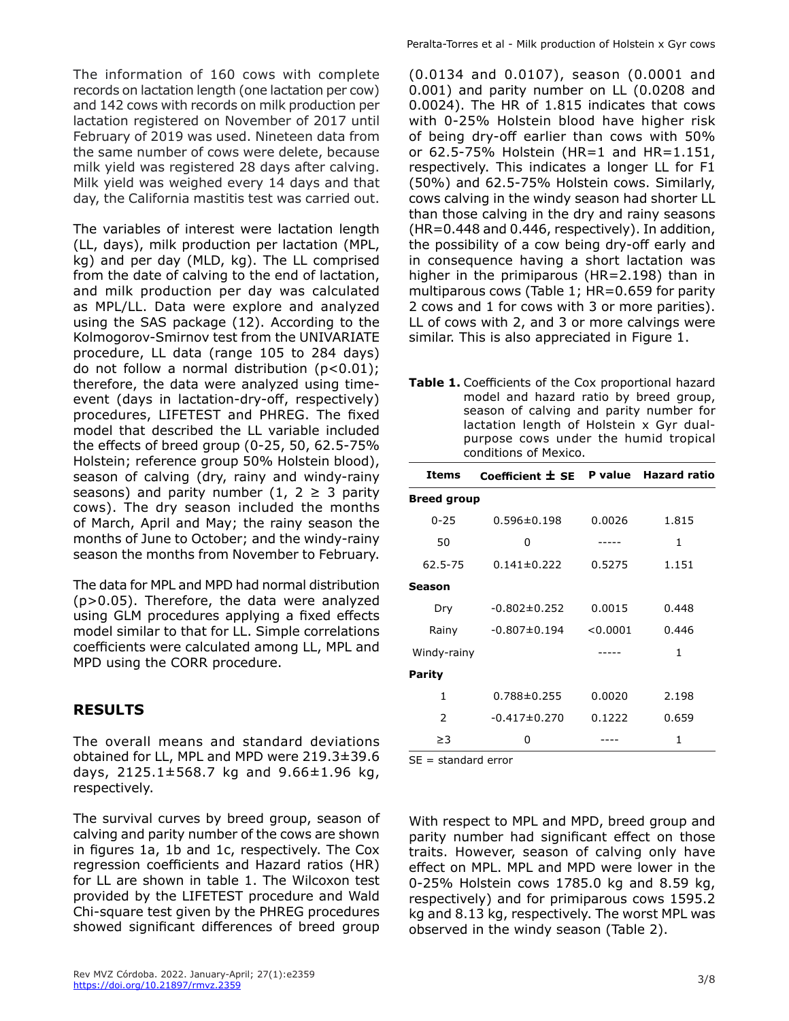The information of 160 cows with complete records on lactation length (one lactation per cow) and 142 cows with records on milk production per lactation registered on November of 2017 until February of 2019 was used. Nineteen data from the same number of cows were delete, because milk yield was registered 28 days after calving. Milk yield was weighed every 14 days and that day, the California mastitis test was carried out.

The variables of interest were lactation length (LL, days), milk production per lactation (MPL, kg) and per day (MLD, kg). The LL comprised from the date of calving to the end of lactation, and milk production per day was calculated as MPL/LL. Data were explore and analyzed using the SAS package (12). According to the Kolmogorov-Smirnov test from the UNIVARIATE procedure, LL data (range 105 to 284 days) do not follow a normal distribution (p<0.01); therefore, the data were analyzed using timeevent (days in lactation-dry-off, respectively) procedures, LIFETEST and PHREG. The fixed model that described the LL variable included the effects of breed group (0-25, 50, 62.5-75% Holstein; reference group 50% Holstein blood), season of calving (dry, rainy and windy-rainy seasons) and parity number (1, 2  $\geq$  3 parity cows). The dry season included the months of March, April and May; the rainy season the months of June to October; and the windy-rainy season the months from November to February.

The data for MPL and MPD had normal distribution (p>0.05). Therefore, the data were analyzed using GLM procedures applying a fixed effects model similar to that for LL. Simple correlations coefficients were calculated among LL, MPL and MPD using the CORR procedure.

## **RESULTS**

The overall means and standard deviations obtained for LL, MPL and MPD were 219.3±39.6 days, 2125.1±568.7 kg and 9.66±1.96 kg, respectively.

The survival curves by breed group, season of calving and parity number of the cows are shown in figures 1a, 1b and 1c, respectively. The Cox regression coefficients and Hazard ratios (HR) for LL are shown in table 1. The Wilcoxon test provided by the LIFETEST procedure and Wald Chi-square test given by the PHREG procedures showed significant differences of breed group

(0.0134 and 0.0107), season (0.0001 and 0.001) and parity number on LL (0.0208 and 0.0024). The HR of 1.815 indicates that cows with 0-25% Holstein blood have higher risk of being dry-off earlier than cows with 50% or 62.5-75% Holstein (HR=1 and HR=1.151, respectively. This indicates a longer LL for F1 (50%) and 62.5-75% Holstein cows. Similarly, cows calving in the windy season had shorter LL than those calving in the dry and rainy seasons (HR=0.448 and 0.446, respectively). In addition, the possibility of a cow being dry-off early and in consequence having a short lactation was higher in the primiparous (HR=2.198) than in multiparous cows (Table 1; HR=0.659 for parity 2 cows and 1 for cows with 3 or more parities). LL of cows with 2, and 3 or more calvings were similar. This is also appreciated in Figure 1.

**Table 1.** Coefficients of the Cox proportional hazard model and hazard ratio by breed group, season of calving and parity number for lactation length of Holstein x Gyr dualpurpose cows under the humid tropical conditions of Mexico.

| Items              | Coefficient $\pm$ SE P value Hazard ratio |          |       |  |  |
|--------------------|-------------------------------------------|----------|-------|--|--|
| <b>Breed group</b> |                                           |          |       |  |  |
| $0 - 25$           | $0.596 \pm 0.198$                         | 0.0026   | 1.815 |  |  |
| 50                 | ŋ                                         |          | 1     |  |  |
| 62.5-75            | $0.141 \pm 0.222$                         | 0.5275   | 1.151 |  |  |
| Season             |                                           |          |       |  |  |
| Dry                | $-0.802 \pm 0.252$                        | 0.0015   | 0.448 |  |  |
| Rainy              | $-0.807 \pm 0.194$                        | < 0.0001 | 0.446 |  |  |
| Windy-rainy        |                                           |          | 1     |  |  |
| <b>Parity</b>      |                                           |          |       |  |  |
| 1                  | $0.788 \pm 0.255$                         | 0.0020   | 2.198 |  |  |
| 2                  | $-0.417\pm 0.270$                         | 0.1222   | 0.659 |  |  |
| ≥3                 | o                                         |          | 1     |  |  |

SE = standard error

With respect to MPL and MPD, breed group and parity number had significant effect on those traits. However, season of calving only have effect on MPL. MPL and MPD were lower in the 0-25% Holstein cows 1785.0 kg and 8.59 kg, respectively) and for primiparous cows 1595.2 kg and 8.13 kg, respectively. The worst MPL was observed in the windy season (Table 2).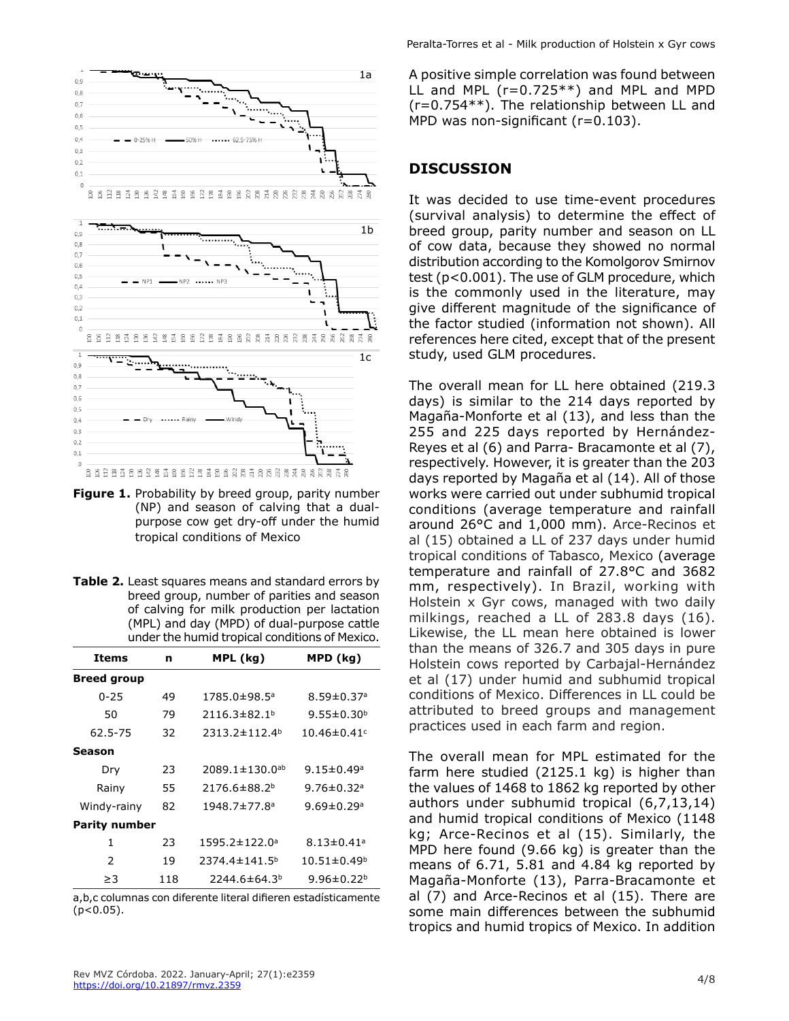

- **Figure 1.** Probability by breed group, parity number (NP) and season of calving that a dualpurpose cow get dry-off under the humid tropical conditions of Mexico
- **Table 2.** Least squares means and standard errors by breed group, number of parities and season of calving for milk production per lactation (MPL) and day (MPD) of dual-purpose cattle under the humid tropical conditions of Mexico.

| Items                | n   | MPL (kg)                         | MPD (kg)                      |  |
|----------------------|-----|----------------------------------|-------------------------------|--|
| <b>Breed group</b>   |     |                                  |                               |  |
| $0 - 25$             | 49  | 1785.0±98.5ª                     | $8.59 \pm 0.37$ <sup>a</sup>  |  |
| 50                   | 79  | $2116.3 \pm 82.1^b$              | 9.55 $\pm$ 0.30 <sup>b</sup>  |  |
| 62.5-75              | 32  | $2313.2 \pm 112.4$ <sup>b</sup>  | $10.46 \pm 0.41$ <sup>c</sup> |  |
| Season               |     |                                  |                               |  |
| Dry                  | 23  | $2089.1 \pm 130.0$ <sup>ab</sup> | $9.15 \pm 0.49$ <sup>a</sup>  |  |
| Rainy                | 55  | 2176.6±88.2 <sup>b</sup>         | 9.76 $\pm$ 0.32 <sup>a</sup>  |  |
| Windy-rainy          | 82  | 1948.7±77.8 <sup>a</sup>         | $9.69 \pm 0.29$ <sup>a</sup>  |  |
| <b>Parity number</b> |     |                                  |                               |  |
| 1                    | 23  | 1595.2±122.0 <sup>a</sup>        | $8.13 \pm 0.41$ a             |  |
| $\mathcal{P}$        | 19  | $2374.4 \pm 141.5^b$             | $10.51 \pm 0.49^b$            |  |
| ≥3                   | 118 | 2244.6±64.3 <sup>b</sup>         | 9.96 $\pm$ 0.22 <sup>b</sup>  |  |

a,b,c columnas con diferente literal difieren estadísticamente  $(p<0.05)$ .

A positive simple correlation was found between LL and MPL (r=0.725\*\*) and MPL and MPD (r=0.754\*\*). The relationship between LL and MPD was non-significant (r=0.103).

#### **DISCUSSION**

It was decided to use time-event procedures (survival analysis) to determine the effect of breed group, parity number and season on LL of cow data, because they showed no normal distribution according to the Komolgorov Smirnov test (p<0.001). The use of GLM procedure, which is the commonly used in the literature, may give different magnitude of the significance of the factor studied (information not shown). All references here cited, except that of the present study, used GLM procedures.

The overall mean for LL here obtained (219.3 days) is similar to the 214 days reported by Magaña-Monforte et al (13), and less than the 255 and 225 days reported by Hernández-Reyes et al (6) and Parra- Bracamonte et al (7), respectively. However, it is greater than the 203 days reported by Magaña et al (14). All of those works were carried out under subhumid tropical conditions (average temperature and rainfall around 26°C and 1,000 mm). Arce-Recinos et al (15) obtained a LL of 237 days under humid tropical conditions of Tabasco, Mexico (average temperature and rainfall of 27.8°C and 3682 mm, respectively). In Brazil, working with Holstein x Gyr cows, managed with two daily milkings, reached a LL of 283.8 days (16). Likewise, the LL mean here obtained is lower than the means of 326.7 and 305 days in pure Holstein cows reported by Carbajal-Hernández et al (17) under humid and subhumid tropical conditions of Mexico. Differences in LL could be attributed to breed groups and management practices used in each farm and region.

The overall mean for MPL estimated for the farm here studied (2125.1 kg) is higher than the values of 1468 to 1862 kg reported by other authors under subhumid tropical (6,7,13,14) and humid tropical conditions of Mexico (1148 kg; Arce-Recinos et al (15). Similarly, the MPD here found (9.66 kg) is greater than the means of 6.71, 5.81 and 4.84 kg reported by Magaña-Monforte (13), Parra-Bracamonte et al (7) and Arce-Recinos et al (15). There are some main differences between the subhumid tropics and humid tropics of Mexico. In addition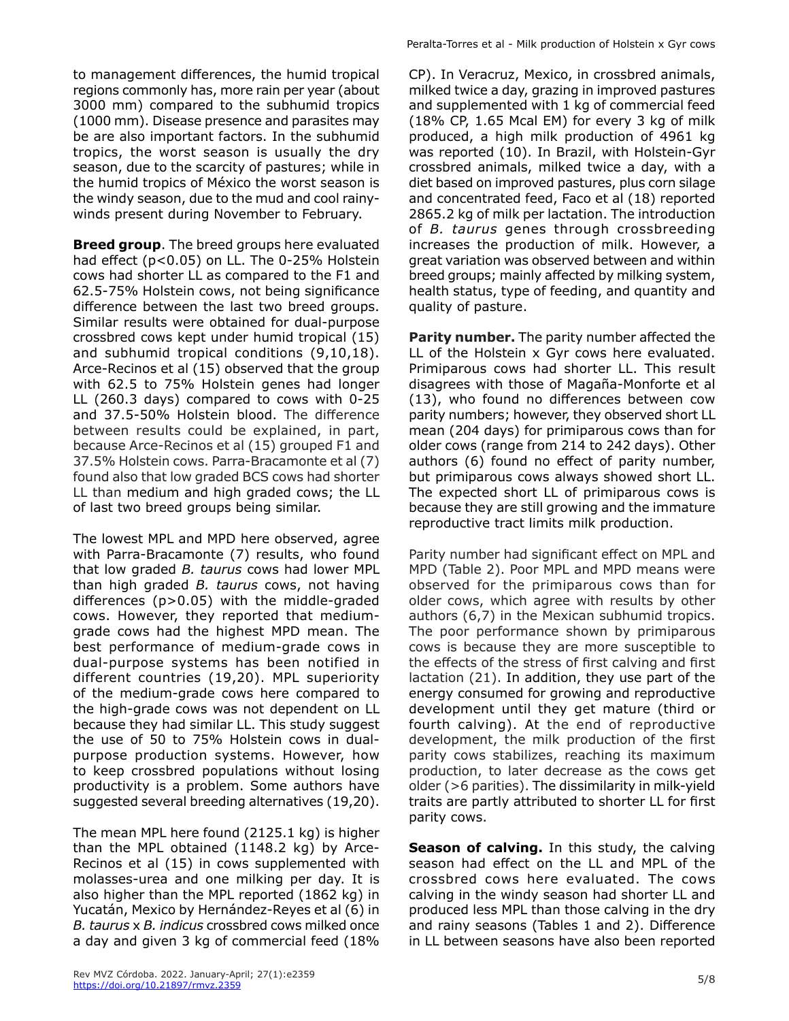to management differences, the humid tropical regions commonly has, more rain per year (about 3000 mm) compared to the subhumid tropics (1000 mm). Disease presence and parasites may be are also important factors. In the subhumid tropics, the worst season is usually the dry season, due to the scarcity of pastures; while in the humid tropics of México the worst season is the windy season, due to the mud and cool rainywinds present during November to February.

**Breed group**. The breed groups here evaluated had effect (p<0.05) on LL. The 0-25% Holstein cows had shorter LL as compared to the F1 and 62.5-75% Holstein cows, not being significance difference between the last two breed groups. Similar results were obtained for dual-purpose crossbred cows kept under humid tropical (15) and subhumid tropical conditions (9,10,18). Arce-Recinos et al (15) observed that the group with 62.5 to 75% Holstein genes had longer LL (260.3 days) compared to cows with 0-25 and 37.5-50% Holstein blood. The difference between results could be explained, in part, because Arce-Recinos et al (15) grouped F1 and 37.5% Holstein cows. Parra-Bracamonte et al (7) found also that low graded BCS cows had shorter LL than medium and high graded cows; the LL of last two breed groups being similar.

The lowest MPL and MPD here observed, agree with Parra-Bracamonte (7) results, who found that low graded *B. taurus* cows had lower MPL than high graded *B. taurus* cows, not having differences (p>0.05) with the middle-graded cows. However, they reported that mediumgrade cows had the highest MPD mean. The best performance of medium-grade cows in dual-purpose systems has been notified in different countries (19,20). MPL superiority of the medium-grade cows here compared to the high-grade cows was not dependent on LL because they had similar LL. This study suggest the use of 50 to 75% Holstein cows in dualpurpose production systems. However, how to keep crossbred populations without losing productivity is a problem. Some authors have suggested several breeding alternatives (19,20).

The mean MPL here found (2125.1 kg) is higher than the MPL obtained (1148.2 kg) by Arce-Recinos et al (15) in cows supplemented with molasses-urea and one milking per day. It is also higher than the MPL reported (1862 kg) in Yucatán, Mexico by Hernández-Reyes et al (6) in *B. taurus* x *B. indicus* crossbred cows milked once a day and given 3 kg of commercial feed (18% Peralta-Torres et al - Milk production of Holstein x Gyr cows

CP). In Veracruz, Mexico, in crossbred animals, milked twice a day, grazing in improved pastures and supplemented with 1 kg of commercial feed (18% CP, 1.65 Mcal EM) for every 3 kg of milk produced, a high milk production of 4961 kg was reported (10). In Brazil, with Holstein-Gyr crossbred animals, milked twice a day, with a diet based on improved pastures, plus corn silage and concentrated feed, Faco et al (18) reported 2865.2 kg of milk per lactation. The introduction of *B. taurus* genes through crossbreeding increases the production of milk. However, a great variation was observed between and within breed groups; mainly affected by milking system, health status, type of feeding, and quantity and quality of pasture.

**Parity number.** The parity number affected the LL of the Holstein x Gyr cows here evaluated. Primiparous cows had shorter LL. This result disagrees with those of Magaña-Monforte et al (13), who found no differences between cow parity numbers; however, they observed short LL mean (204 days) for primiparous cows than for older cows (range from 214 to 242 days). Other authors (6) found no effect of parity number, but primiparous cows always showed short LL. The expected short LL of primiparous cows is because they are still growing and the immature reproductive tract limits milk production.

Parity number had significant effect on MPL and MPD (Table 2). Poor MPL and MPD means were observed for the primiparous cows than for older cows, which agree with results by other authors (6,7) in the Mexican subhumid tropics. The poor performance shown by primiparous cows is because they are more susceptible to the effects of the stress of first calving and first lactation (21). In addition, they use part of the energy consumed for growing and reproductive development until they get mature (third or fourth calving). At the end of reproductive development, the milk production of the first parity cows stabilizes, reaching its maximum production, to later decrease as the cows get older (>6 parities). The dissimilarity in milk-yield traits are partly attributed to shorter LL for first parity cows.

**Season of calving.** In this study, the calving season had effect on the LL and MPL of the crossbred cows here evaluated. The cows calving in the windy season had shorter LL and produced less MPL than those calving in the dry and rainy seasons (Tables 1 and 2). Difference in LL between seasons have also been reported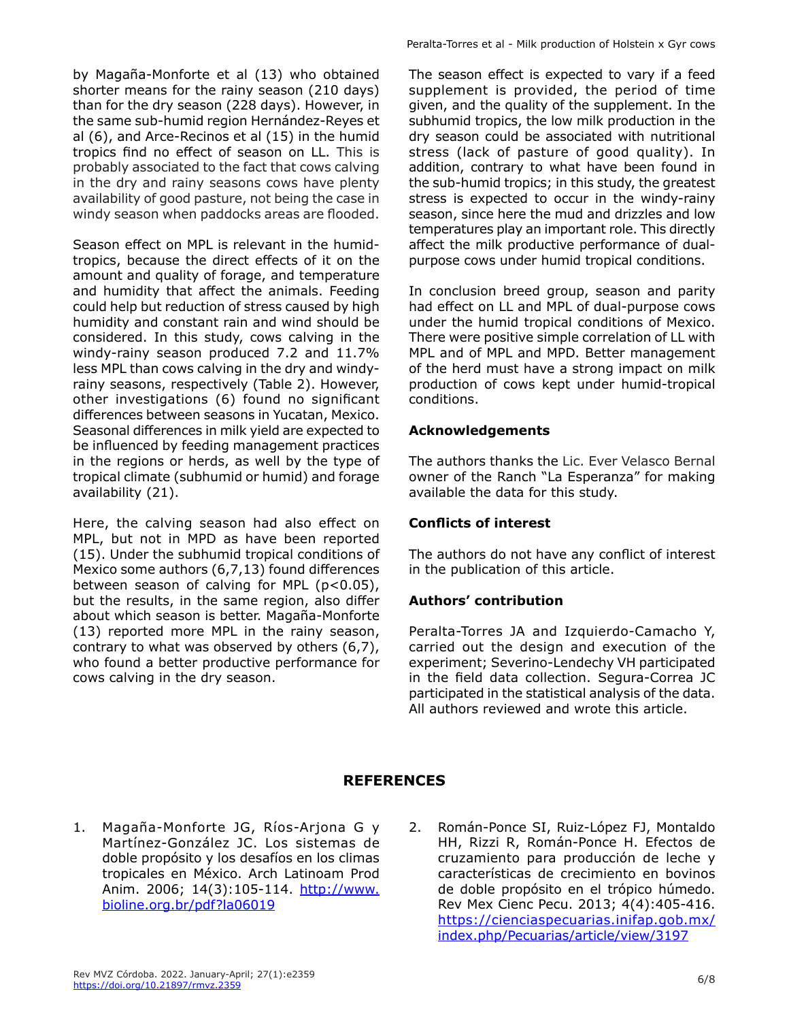by Magaña-Monforte et al (13) who obtained shorter means for the rainy season (210 days) than for the dry season (228 days). However, in the same sub-humid region Hernández-Reyes et al (6), and Arce-Recinos et al (15) in the humid tropics find no effect of season on LL. This is probably associated to the fact that cows calving in the dry and rainy seasons cows have plenty availability of good pasture, not being the case in windy season when paddocks areas are flooded.

Season effect on MPL is relevant in the humidtropics, because the direct effects of it on the amount and quality of forage, and temperature and humidity that affect the animals. Feeding could help but reduction of stress caused by high humidity and constant rain and wind should be considered. In this study, cows calving in the windy-rainy season produced 7.2 and 11.7% less MPL than cows calving in the dry and windyrainy seasons, respectively (Table 2). However, other investigations (6) found no significant differences between seasons in Yucatan, Mexico. Seasonal differences in milk yield are expected to be influenced by feeding management practices in the regions or herds, as well by the type of tropical climate (subhumid or humid) and forage availability (21).

Here, the calving season had also effect on MPL, but not in MPD as have been reported (15). Under the subhumid tropical conditions of Mexico some authors (6,7,13) found differences between season of calving for MPL (p<0.05), but the results, in the same region, also differ about which season is better. Magaña-Monforte (13) reported more MPL in the rainy season, contrary to what was observed by others (6,7), who found a better productive performance for cows calving in the dry season.

The season effect is expected to vary if a feed supplement is provided, the period of time given, and the quality of the supplement. In the subhumid tropics, the low milk production in the dry season could be associated with nutritional stress (lack of pasture of good quality). In addition, contrary to what have been found in the sub-humid tropics; in this study, the greatest stress is expected to occur in the windy-rainy season, since here the mud and drizzles and low temperatures play an important role. This directly affect the milk productive performance of dualpurpose cows under humid tropical conditions.

In conclusion breed group, season and parity had effect on LL and MPL of dual-purpose cows under the humid tropical conditions of Mexico. There were positive simple correlation of LL with MPL and of MPL and MPD. Better management of the herd must have a strong impact on milk production of cows kept under humid-tropical conditions.

#### **Acknowledgements**

The authors thanks the Lic. Ever Velasco Bernal owner of the Ranch "La Esperanza" for making available the data for this study.

#### **Conflicts of interest**

The authors do not have any conflict of interest in the publication of this article.

## **Authors' contribution**

Peralta-Torres JA and Izquierdo-Camacho Y, carried out the design and execution of the experiment; Severino-Lendechy VH participated in the field data collection. Segura-Correa JC participated in the statistical analysis of the data. All authors reviewed and wrote this article.

## **REFERENCES**

- 1. Magaña-Monforte JG, Ríos-Arjona G y Martínez-González JC. Los sistemas de doble propósito y los desafíos en los climas tropicales en México. Arch Latinoam Prod Anim. 2006; 14(3):105-114. [http://www.](http://www.bioline.org.br/pdf?la06019) [bioline.org.br/pdf?la06019](http://www.bioline.org.br/pdf?la06019)
- 2. Román-Ponce SI, Ruiz-López FJ, Montaldo HH, Rizzi R, Román-Ponce H. Efectos de cruzamiento para producción de leche y características de crecimiento en bovinos de doble propósito en el trópico húmedo. Rev Mex Cienc Pecu. 2013; 4(4):405-416. https://cienciaspecuarias.inifap.gob.mx/ index.php/Pecuarias/article/view/3197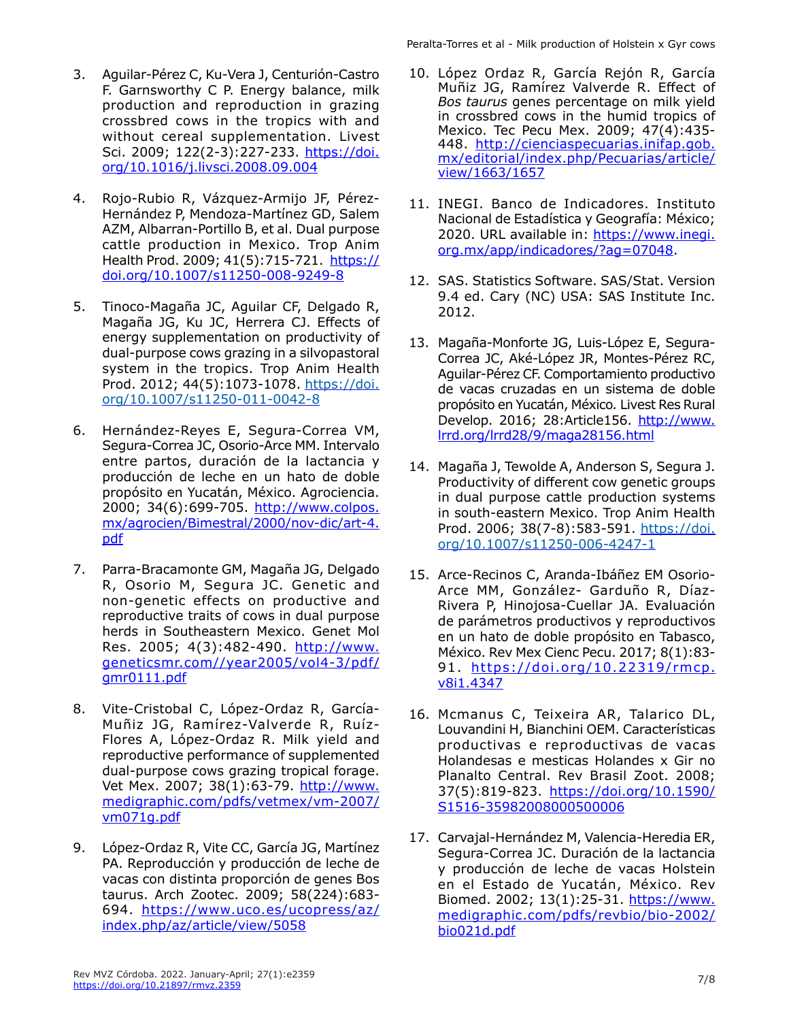- 3. Aguilar-Pérez C, Ku-Vera J, Centurión-Castro F. Garnsworthy C P. Energy balance, milk production and reproduction in grazing crossbred cows in the tropics with and without cereal supplementation. Livest Sci. 2009; 122(2-3):227-233. [https://doi.](https://doi.org/10.1016/j.livsci.2008.09.004) [org/10.1016/j.livsci.2008.09.004](https://doi.org/10.1016/j.livsci.2008.09.004)
- 4. Rojo-Rubio R, Vázquez-Armijo JF, Pérez-Hernández P, Mendoza-Martínez GD, Salem AZM, Albarran-Portillo B, et al. Dual purpose cattle production in Mexico. Trop Anim Health Prod. 2009; 41(5):715-721. [https://](https://doi.org/10.1007/s11250-008-9249-8) [doi.org/10.1007/s11250-008-9249-8](https://doi.org/10.1007/s11250-008-9249-8)
- 5. Tinoco-Magaña JC, Aguilar CF, Delgado R, Magaña JG, Ku JC, Herrera CJ. Effects of energy supplementation on productivity of dual-purpose cows grazing in a silvopastoral system in the tropics. Trop Anim Health Prod. 2012; 44(5):1073-1078. [https://doi.](https://doi.org/10.1007/s11250-011-0042-8) [org/10.1007/s11250-011-0042-8](https://doi.org/10.1007/s11250-011-0042-8)
- 6. Hernández-Reyes E, Segura-Correa VM, Segura-Correa JC, Osorio-Arce MM. Intervalo entre partos, duración de la lactancia y producción de leche en un hato de doble propósito en Yucatán, México. Agrociencia. 2000; 34(6):699-705. [http://www.colpos.](http://www.colpos.mx/agrocien/Bimestral/2000/nov-dic/art-4.pdf) [mx/agrocien/Bimestral/2000/nov-dic/art-4.](http://www.colpos.mx/agrocien/Bimestral/2000/nov-dic/art-4.pdf) [pdf](http://www.colpos.mx/agrocien/Bimestral/2000/nov-dic/art-4.pdf)
- 7. Parra-Bracamonte GM, Magaña JG, Delgado R, Osorio M, Segura JC. Genetic and non-genetic effects on productive and reproductive traits of cows in dual purpose herds in Southeastern Mexico. Genet Mol Res. 2005; 4(3):482-490. [http://www.](http://www.geneticsmr.com/year2005/vol4-3/pdf/gmr0111.pdf) [geneticsmr.com//year2005/vol4-3/pdf/](http://www.geneticsmr.com/year2005/vol4-3/pdf/gmr0111.pdf) [gmr0111.pdf](http://www.geneticsmr.com/year2005/vol4-3/pdf/gmr0111.pdf)
- 8. Vite-Cristobal C, López-Ordaz R, García-Muñiz JG, Ramírez-Valverde R, Ruíz-Flores A, López-Ordaz R. Milk yield and reproductive performance of supplemented dual-purpose cows grazing tropical forage. Vet Mex. 2007; 38(1):63-79. [http://www.](http://www.medigraphic.com/pdfs/vetmex/vm-2007/vm071g.pdf) [medigraphic.com/pdfs/vetmex/vm-2007/](http://www.medigraphic.com/pdfs/vetmex/vm-2007/vm071g.pdf) [vm071g.pdf](http://www.medigraphic.com/pdfs/vetmex/vm-2007/vm071g.pdf)
- 9. López-Ordaz R, Vite CC, García JG, Martínez PA. Reproducción y producción de leche de vacas con distinta proporción de genes Bos taurus. Arch Zootec. 2009; 58(224):683- 694. [https://www.uco.es/ucopress/az/](https://www.uco.es/ucopress/az/index.php/az/article/view/5058) [index.php/az/article/view/5058](https://www.uco.es/ucopress/az/index.php/az/article/view/5058)
- 10. López Ordaz R, García Rejón R, García Muñiz JG, Ramírez Valverde R. Effect of *Bos taurus* genes percentage on milk yield in crossbred cows in the humid tropics of Mexico. Tec Pecu Mex. 2009; 47(4):435- 448. [http://cienciaspecuarias.inifap.gob.](http://cienciaspecuarias.inifap.gob.mx/editorial/index.php/Pecuarias/article/view/1663/1657) [mx/editorial/index.php/Pecuarias/article/](http://cienciaspecuarias.inifap.gob.mx/editorial/index.php/Pecuarias/article/view/1663/1657) [view/1663/1657](http://cienciaspecuarias.inifap.gob.mx/editorial/index.php/Pecuarias/article/view/1663/1657)
- 11. INEGI. Banco de Indicadores. Instituto Nacional de Estadística y Geografía: México; 2020. URL available in: [https://www.inegi.](https://www.inegi.org.mx/app/indicadores/?ag=07048) [org.mx/app/indicadores/?ag=07048.](https://www.inegi.org.mx/app/indicadores/?ag=07048)
- 12. SAS. Statistics Software. SAS/Stat. Version 9.4 ed. Cary (NC) USA: SAS Institute Inc. 2012.
- 13. Magaña-Monforte JG, Luis-López E, Segura-Correa JC, Aké-López JR, Montes-Pérez RC, Aguilar-Pérez CF. Comportamiento productivo de vacas cruzadas en un sistema de doble propósito en Yucatán, México*.* Livest Res Rural Develop. 2016; 28:Article156. [http://www.](http://www.lrrd.org/lrrd28/9/maga28156.html) [lrrd.org/lrrd28/9/maga28156.html](http://www.lrrd.org/lrrd28/9/maga28156.html)
- 14. Magaña J, Tewolde A, Anderson S, Segura J. Productivity of different cow genetic groups in dual purpose cattle production systems in south-eastern Mexico. Trop Anim Health Prod. 2006; 38(7-8):583-591. [https://doi.](https://doi.org/10.1007/s11250-006-4247-1) [org/10.1007/s11250-006-4247-1](https://doi.org/10.1007/s11250-006-4247-1)
- 15. Arce-Recinos C, Aranda-Ibáñez EM Osorio-Arce MM, González- Garduño R, Díaz-Rivera P, Hinojosa-Cuellar JA. Evaluación de parámetros productivos y reproductivos en un hato de doble propósito en Tabasco, México. Rev Mex Cienc Pecu. 2017; 8(1):83- 91. [https://doi.org/10.22319/rmcp.](https://doi.org/10.22319/rmcp.v8i1.4347) [v8i1.4347](https://doi.org/10.22319/rmcp.v8i1.4347)
- 16. Mcmanus C, Teixeira AR, Talarico DL, Louvandini H, Bianchini OEM. Características productivas e reproductivas de vacas Holandesas e mesticas Holandes x Gir no Planalto Central. Rev Brasil Zoot. 2008; 37(5):819-823. [https://doi.org/10.1590/](https://doi.org/10.1590/S1516-35982008000500006) [S1516-35982008000500006](https://doi.org/10.1590/S1516-35982008000500006)
- 17. Carvajal-Hernández M, Valencia-Heredia ER, Segura-Correa JC. Duración de la lactancia y producción de leche de vacas Holstein en el Estado de Yucatán, México. Rev Biomed. 2002; 13(1):25-31. [https://www.](https://www.medigraphic.com/pdfs/revbio/bio-2002/bio021d.pdf) [medigraphic.com/pdfs/revbio/bio-2002/](https://www.medigraphic.com/pdfs/revbio/bio-2002/bio021d.pdf) [bio021d.pdf](https://www.medigraphic.com/pdfs/revbio/bio-2002/bio021d.pdf)